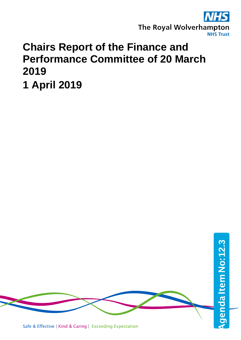

# **Chairs Report of the Finance and Performance Committee of 20 March 2019**

**1 April 2019**



Safe & Effective | Kind & Caring | Exceeding Expectation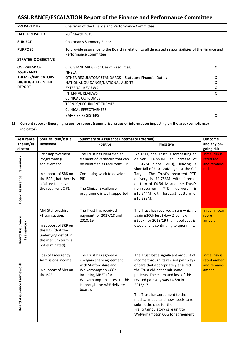# **ASSURANCE/ESCALATION Report of the Finance and Performance Committee**

| <b>PREPARED BY</b>         | Chairman of the Finance and Performance Committee                                                                           |   |  |
|----------------------------|-----------------------------------------------------------------------------------------------------------------------------|---|--|
| <b>DATE PREPARED</b>       | 20 <sup>th</sup> March 2019                                                                                                 |   |  |
| <b>SUBJECT</b>             | Chairman's Summary Report                                                                                                   |   |  |
| <b>PURPOSE</b>             | To provide assurance to the Board in relation to all delegated responsibilities of the Finance and<br>Performance Committee |   |  |
| <b>STRATEGIC OBJECTIVE</b> |                                                                                                                             |   |  |
| <b>OVERVIEW OF</b>         | <b>CQC STANDARDS (For Use of Resources)</b>                                                                                 | X |  |
| <b>ASSURANCE</b>           | <b>NHSLA</b>                                                                                                                |   |  |
| <b>THEMES/INDICATORS</b>   | <b>OTHER REGULATORY STANDARDS - Statutory Financial Duties</b>                                                              | x |  |
| <b>HIGHLIGHTED IN THE</b>  | NATIONAL GUIDANCE/NATIONAL AUDITS                                                                                           | x |  |
| <b>REPORT</b>              | <b>EXTERNAL REVIEWS</b>                                                                                                     | x |  |
|                            | <b>INTERNAL REVIEWS</b>                                                                                                     | x |  |
|                            | CLINICAL OUTCOMES                                                                                                           |   |  |
|                            | TRENDS/RECURRENT THEMES                                                                                                     |   |  |
|                            | <b>CLINICAL EFFECTIVENESS</b>                                                                                               |   |  |
|                            | <b>BAF/RISK REGISTERS</b>                                                                                                   | x |  |

## **1) Current report - Emerging issues for report (summarise issues or information impacting on the area/compliance/ indicator)**

| <b>Assurance</b>                    | Specific Item/issue                                                                                                                                  | <b>Summary of Assurance (internal or External)</b>                                                                                                                                                          |                                                                                                                                                                                                                                                                                                                                                                                                                   |                                                            |
|-------------------------------------|------------------------------------------------------------------------------------------------------------------------------------------------------|-------------------------------------------------------------------------------------------------------------------------------------------------------------------------------------------------------------|-------------------------------------------------------------------------------------------------------------------------------------------------------------------------------------------------------------------------------------------------------------------------------------------------------------------------------------------------------------------------------------------------------------------|------------------------------------------------------------|
| Theme/In                            | <b>Reviewed</b>                                                                                                                                      | Positive                                                                                                                                                                                                    | Negative                                                                                                                                                                                                                                                                                                                                                                                                          | and any on-                                                |
| dicator                             |                                                                                                                                                      |                                                                                                                                                                                                             |                                                                                                                                                                                                                                                                                                                                                                                                                   | going risk                                                 |
| <b>Board Assurance Framework</b>    | Cost Improvement<br>Programme (CIP)<br>achievement.<br>In support of SR8 on<br>the BAF (that there is<br>a failure to deliver<br>the recurrent CIP). | The Trust has identified an<br>element of vacancies that can<br>be identified as recurrent CIP<br>Continuing work to develop<br>PID pipeline<br>The Clinical Excellence<br>programme is well supported.     | At M11, the Trust is forecasting to<br>deliver £14.880M (an increase of<br>£0.617M since M10), leaving a<br>shortfall of £10.120M against the CIP<br>Target. The Trust's recurrent YTD<br>delivery is £1.756M with forecast<br>outturn of £4.341M and the Trust's<br>non-recurrent<br><b>YTD</b><br>delivery<br>is<br>£10.644M with forecast outturn of<br>£10.539M.                                              | <b>Initial risk is</b><br>rated red<br>and remains<br>red. |
| <b>Board Assurance</b><br>Framework | Mid Staffordshire<br>FT transaction.<br>In support of SR9 on<br>the BAF (that the<br>underlying deficit in<br>the medium term is<br>not eliminated). | The Trust has received<br>payment for 2017/18 and<br>2018/19.                                                                                                                                               | The Trust has received a sum which is<br>again £200k less (Now 2 sums of<br>£200k) for 2018/19 than it believes is<br>owed and is continuing to query this.                                                                                                                                                                                                                                                       | Initial in year<br>score<br>amber.                         |
| Board Assurance Framework           | Loss of Emergency<br>Admissions Income.<br>In support of SR9 on<br>the BAF                                                                           | The Trust has agreed a<br>risk/gain share agreement<br>with Staffordshire and<br><b>Wolverhampton CCGs</b><br>including MRET (for<br>Wolverhampton access to this<br>is through the A&E delivery<br>board). | The Trust lost a significant amount of<br>income through its revised pathways<br>of care that appropriately ensured<br>the Trust did not admit some<br>patients. The estimated loss of this<br>revised pathway was £4.8m in<br>2016/17.<br>The Trust has agreement to the<br>medical model and now needs to re-<br>submit the case for the<br>Frailty/ambulatory care unit to<br>Wolverhampton CCG for agreement. | Initial risk is<br>rated amber<br>and remains<br>amber.    |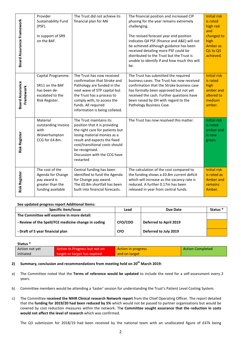| Board Assurance Framework           | Provider<br>Sustainability Fund<br>(PSF).<br>In support of SR9<br>on the BAF.                 | The Trust did not achieve its<br>financial plan for M6                                                                                                                                                                                                      | The financial position and increased CIP<br>phasing for the year remains extremely<br>challenging.<br>The revised forecast year end position<br>indicates Q4 PSF (finance and A&E) will not<br>be achieved although guidance has been<br>received detailing more PSF could be<br>distributed to the Trust but the Trust is<br>unable to identify if and how much this will<br>be. | <b>Initial risk</b><br>is rated<br>high red<br>and<br>changed to<br>high<br><b>Amber as</b><br>Q1 to Q3<br>achieved. |
|-------------------------------------|-----------------------------------------------------------------------------------------------|-------------------------------------------------------------------------------------------------------------------------------------------------------------------------------------------------------------------------------------------------------------|-----------------------------------------------------------------------------------------------------------------------------------------------------------------------------------------------------------------------------------------------------------------------------------------------------------------------------------------------------------------------------------|----------------------------------------------------------------------------------------------------------------------|
| <b>Board Assurance</b><br>Framework | Capital Programme.<br>SR11 on the BAF<br>has been de-<br>escalated to the<br>Risk Register.   | The Trust has now received<br>confirmation that Stroke and<br>Pathology are funded in the<br>next wave of STP capital but<br>the Trust has a process to<br>comply with, to access the<br>funds. All required<br>information is being collated.              | The Trust has submitted the required<br>business cases. The Trust has now received<br>confirmation that the Stroke business case<br>has formally been approved but not yet<br>received the cash. Further questions have<br>been raised by DH with regard to the<br>Pathology Business Case.                                                                                       | <b>Initial risk</b><br>is rated<br>high<br>amber and<br>altered to<br>medium<br>amber.                               |
| <b>Risk Register</b>                | Material<br>outstanding Invoice<br>with<br>Wolverhampton<br>CCG for £4.8m.                    | The Trust maintains its<br>position that it is providing<br>the right care for patients but<br>losing material monies as a<br>result and expects the fixed<br>cost/transitional costs should<br>be recognised.<br>Discussion with the CCG have<br>restarted | The Trust has now resolved this matter.                                                                                                                                                                                                                                                                                                                                           | Initial risk<br>is rated<br>amber and<br>is now<br>green.                                                            |
| <b>Risk Register</b>                | The cost of the<br>Agenda for Change<br>pay award is<br>greater than the<br>funding available | Central funding has been<br>identified to fund the Agenda<br>for Change pay award.<br>The £0.8m shortfall has been<br>built into financial forecasts.                                                                                                       | The calculation of the cost compared to<br>the funding shows a £0.8m current deficit<br>which will increase as the vacancy rate is<br>reduced. A further 0.17m has been<br>released in year from central funds.                                                                                                                                                                   | <b>Initial risk</b><br>is rated as<br><b>Amber and</b><br>remains<br>Amber.                                          |

#### **See updated progress report Additional Items:**

| Specific item/Issue                                 | Lead       | Due Date               | Status <sup>*</sup> |
|-----------------------------------------------------|------------|------------------------|---------------------|
| The Committee will examine in more detail:          |            |                        |                     |
| - Review of the Spell/FCE medicine change in coding | CFO/COO    | Deferred to April 2019 |                     |
| - Draft of 5 year financial plan                    | <b>CFO</b> | Deferred to July 2019  |                     |

**Status \***

| Action not yet | Action In Progress but not on | Action in progress | <b>Action Completed</b> |
|----------------|-------------------------------|--------------------|-------------------------|
| initiated      | target or target has expired  | and on target      |                         |

## **2) Summary, conclusion and recommendations from meeting held on 20th March 2019:**

- a) The Committee noted that the **Terms of reference would be updated** to include the need for a self-assessment every 2 years.
- b) Committee members would be attending a 'taster' session for understanding the Trust's Patient Level Costing System.
- c) The Committee **received the NIHR Clinical research Network report** from the Chief Operating Officer. The report detailed that the **funding for 2019/20 had been reduced by 5%** which would not be passed to partner organisations but would be covered by cost reduction measures within the network. Th**e Committee sought assurance that the reduction in costs would not affect the level of research** which was confirmed.

The Q3 submission for 2018/19 had been received by the national team with an unallocated figure of £47k being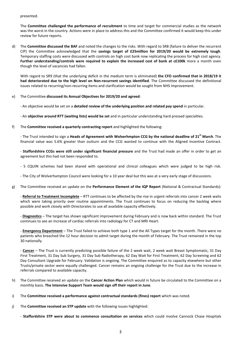presented.

The **Committee challenged the performance of recruitment** to time and target for commercial studies as the network was the worst in the country. Actions were in place to address this and the Committee confirmed it would keep this under review for future reports.

d) The **Committee discussed the BAF** and noted the changes to the risks. With regard to SR8 (failure to deliver the recurrent CIP) the Committee acknowledged that the **savings target of £25million for 2019/20 would be extremely tough**. Temporary staffing costs were discussed with controls on high cost bank now replicating the process for high cost agency. **Further understanding/controls were required to explain the increased cost of bank at c£100k** more a month even though the level of vacancies had fallen.

With regard to SR9 (that the underlying deficit in the medium term is eliminated) **the CFO confirmed that in 2018/19 it had deteriorated due to the high level on Non-recurrent savings identified**. The Committee discussed the definitional issues related to recurring/non-recurring items and clarification would be sought from NHS Improvement.

#### e) The Committee **discussed its Annual Objectives for 2019/20 and agreed**:

- An objective would be set on a **detailed review of the underlying position and related pay spend** in particular.

- An **objective around RTT (waiting lists) would be set** and in particular understanding hard pressed specialties.

f) The **Committee received a quarterly contracting report** and highlighted the following:

- The Trust intended to sign a **Heads of Agreement with Wolverhmpton CCG by the national deadline of 21st March**. The financial value was 5.6% greater than outturn and the CCG wanted to continue with the Aligned Incentive Contract.

- **Staffordshire CCGs were still under significant financial pressure** and the Trust had made an offer in order to get an agreement but this had not been responded to.

- 5 CQUIN schemes had been shared with operational and clinical colleagues which were judged to be high risk.
- The City of Wolverhampton Council were looking for a 10 year deal but this was at a very early stage of discussions.
- g) The Committee received an update on the **Performance Element of the IQP Report** (National & Contractual Standards):

- **Referral to Treatment Incomplete** – RTT continues to be affected by the rise in urgent referrals into cancer 2 week waits which were taking priority over routine appointments. The Trust continues to focus on reducing the backlog where possible and work closely with Directorates to use all available capacity effectively.

- **Diagnostics** – The target has shown significant improvement during February and is now back within standard. The Trust continues to see an increase of cardiac referrals into radiology for CT and MRI Heart.

- **Emergency Department** – The Trust failed to achieve both type 1 and the All Types target for the month. There were no patients who breached the 12 hour decision to admit target during the month of February. The Trust remained in the top 30 nationally.

- **Cancer** – The Trust is currently predicting possible failure of the 2 week wait, 2 week wait Breast Symptomatic, 31 Day First Treatment, 31 Day Sub Surgery, 31 Day Sub Radiotherapy, 62 Day Wait for First Treatment, 62 Day Screening and 62 Day Consultant Upgrade for February. Validation is ongoing. The Committee enquired as to capacity elsewhere but other Trusts/private sector were equally challenged. Cancer remains an ongoing challenge for the Trust due to the increase in referrals compared to available capacity.

- h) The Committee received an update on the **Cancer Action Plan** which would in future be circulated to the Committee on a monthly basis. **The Intensive Support Team would sign off their report in June**.
- i) The **Committee received a performance against contractual standards (fines) report** which was noted.
- j) The **Committee received an STP update** with the following issues highlighted:

- **Staffordshire STP were about to commence consultation on services** which could involve Cannock Chase Hospitals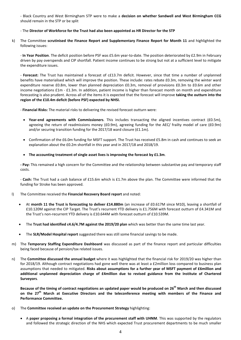- Black Country and West Birmingham STP were to make a **decision on whether Sandwell and West Birmingham CCG** should remain in the STP or be split

#### - The **Director of Workforce for the Trust had also been appointed as HR Director for the STP**

k) The Committee **scrutinised the Finance Report and Supplementary Finance Report for Month 11** and highlighted the following issues:

- **In Year Position**. The deficit position before PSF was £5.6m year-to-date. The position deteriorated by £2.9m in February driven by pay overspends and CIP shortfall. Patient income continues to be strong but not at a sufficient level to mitigate the expenditure issues.

- **Forecast:** The Trust has maintained a forecast of c£13.7m deficit. However, since that time a number of unplanned benefits have materialised which will improve the position. These include: rates rebate £0.3m, removing the winter ward expenditure reserve £0.8m, lower than planned depreciation £0.3m, removal of provisions £0.3m to £0.6m and other income negotiations £1m - £1.3m. In addition, patient income is higher than forecast month on month and expenditure forecasting is also prudent. Across all of the items it is expected that the forecast will improve **taking the outturn into the region of the £10.4m deficit (before PSF) expected by NHSI.**

- **Financial Risks:** The material risks to delivering the revised forecast outturn were:

- **Year-end agreements with Commissioners**. This includes transacting the aligned incentives contract (£0.5m), agreeing the return of readmissions money (£0.9m), agreeing funding for the AEC/ frailty model of care (£0.9m) and/or securing transition funding for the 2017/18 ward closure (£1.1m).
- Confirmation of the £6.0m funding for MSFT support. The Trust has received £5.8m in cash and continues to seek an explanation about the £0.2m shortfall in this year and in 2017/18 and 2018/19.

#### • **The accounting treatment of single asset lives is improving the forecast by £1.3m**.

**- Pay:** This remained a high concern for the Committee and the relationship between substantive pay and temporary staff costs.

- **Cash:** The Trust had a cash balance of £15.6m which is £1.7m above the plan. The Committee were informed that the funding for Stroke has been approved.

#### l) The Committee received the **Financial Recovery Board report** and noted:

- At **month 11 the Trust is forecasting to deliver £14.880m** (an increase of £0.617M since M10), leaving a shortfall of £10.120M against the CIP Target. The Trust's recurrent YTD delivery is £1.756M with forecast outturn of £4.341M and the Trust's non-recurrent YTD delivery is £10.644M with forecast outturn of £10.539M.
- The **Trust had identified c4.6/4.7M against the 2019/20 plan** which was better than the same time last year.
- The **SLR/Model Hospital report** suggested there was still some financial savings to be made.
- m) The **Temporary Staffing Expenditure Dashboard** was discussed as part of the finance report and particular difficulties being faced because of pension/tax related issues.
- n) The **Committee discussed the annual budget** where it was highlighted that the financial risk for 2019/20 was higher than for 2018/19. Although contract negotiations had gone well there was at least a £2million loss compared to business plan assumptions that needed to mitigated. **Risks about assumptions for a further year of MSFT payment of £6million and additional unplanned depreciation charge of £4million due to revised guidance from the Institute of Chartered Surveyors**.

**Because of the timing of contract negotiations an updated paper would be produced on 26th March and then discussed on the 27th March at Executive Directors and the teleconference meeting with members of the Finance and Performance Committee.**

- o) The **Committee received an update on the Procurement Strategy** highlighting:
	- A **paper proposing a formal integration of the procurement staff with UHNM**. This was supported by the regulators and followed the strategic direction of the NHS which expected Trust procurement departments to be much smaller